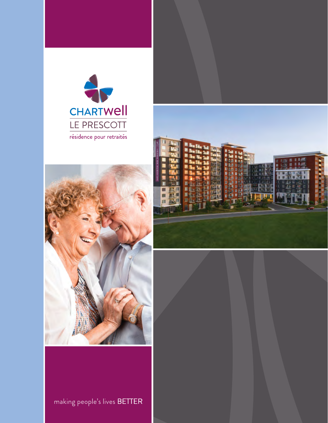





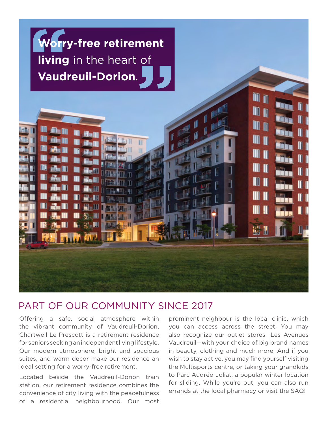

## PART OF OUR COMMUNITY SINCE 2017

Offering a safe, social atmosphere within the vibrant community of Vaudreuil-Dorion, Chartwell Le Prescott is a retirement residence for seniors seeking an independent living lifestyle. Our modern atmosphere, bright and spacious suites, and warm décor make our residence an ideal setting for a worry-free retirement.

Located beside the Vaudreuil-Dorion train station, our retirement residence combines the convenience of city living with the peacefulness of a residential neighbourhood. Our most

prominent neighbour is the local clinic, which you can access across the street. You may also recognize our outlet stores—Les Avenues Vaudreuil—with your choice of big brand names in beauty, clothing and much more. And if you wish to stay active, you may find yourself visiting the Multisports centre, or taking your grandkids to Parc Audrée-Joliat, a popular winter location for sliding. While you're out, you can also run errands at the local pharmacy or visit the SAQ!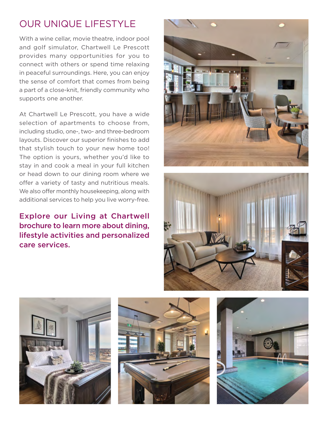## OUR UNIQUE LIFESTYLE

supports one another. With a wine cellar, movie theatre, indoor pool and golf simulator, Chartwell Le Prescott provides many opportunities for you to connect with others or spend time relaxing in peaceful surroundings. Here, you can enjoy the sense of comfort that comes from being a part of a close-knit, friendly community who

At Chartwell Le Prescott, you have a wide selection of apartments to choose from, including studio, one-, two- and three-bedroom layouts. Discover our superior finishes to add that stylish touch to your new home too! The option is yours, whether you'd like to stay in and cook a meal in your full kitchen or head down to our dining room where we offer a variety of tasty and nutritious meals. We also offer monthly housekeeping, along with additional services to help you live worry-free.

### Explore our Living at Chartwell brochure to learn more about dining, lifestyle activities and personalized care services.









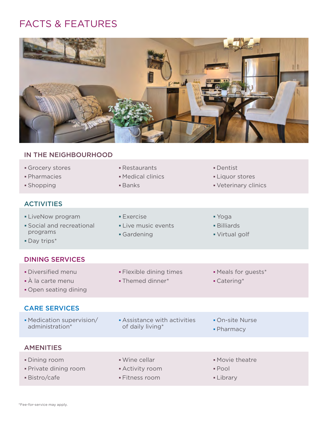## FACTS & FEATURES



# IN THE NEIGHBOURHOOD

|  | ■ Grocery stores |  |  |
|--|------------------|--|--|
|  |                  |  |  |

- 
- 

### **ACTIVITIES**

- Restaurants **Dentist**
- 
- 
- 
- Pharmacies Medical clinics Liquor stores
- Shopping **Banks Banks Veterinary clinics Veterinary clinics**
- **LiveNow program Exercise Exercise With South American** Voga **Social and recreational Community Intervents Billiards** programs **Gardening Community** Gardening **Community** Constants and Development Community Community Community Community Community Community Community Community Community Community Community Community Community Community Com Day trips\* DINING SERVICES • Diversified menu **Flexible dining times** • Meals for guests\*
	- $\bullet$  À la carte menu  $\bullet$  Themed dinner\*  $\bullet$  Catering\*
	- Open seating dining

### CARE SERVICES

- Medication supervision/ Assistance with activities On-site Nurse of daily living\* **and the set of daily living\* Pharmacy**
- 
- 

- AMENITIES
- Dining room **Wine cellar Movie theatre** Private dining room **Activity room Pool**
- Bistro/cafe Fitness room Library Care
- -
- 
- 
-